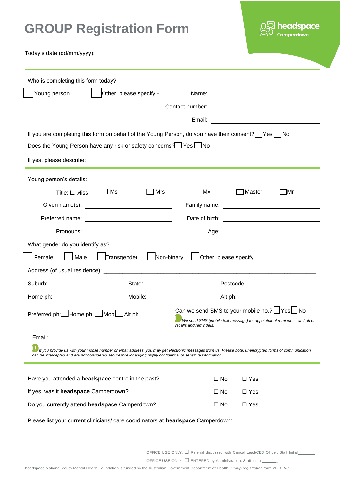# **GROUP Registration Form**



Today's date (dd/mm/yyyy): \_\_\_\_\_\_\_\_\_\_\_\_\_\_\_\_\_

| Who is completing this form today?                                                                                                                                                                                                             |                                                                                                                                                      |  |
|------------------------------------------------------------------------------------------------------------------------------------------------------------------------------------------------------------------------------------------------|------------------------------------------------------------------------------------------------------------------------------------------------------|--|
| Young person<br>Other, please specify -                                                                                                                                                                                                        | Name:                                                                                                                                                |  |
|                                                                                                                                                                                                                                                | Contact number:<br><u> 1980 - Andrea Station, amerikansk politik (</u>                                                                               |  |
|                                                                                                                                                                                                                                                | Email:<br><u> 1980 - Andrea Andrew Maria (h. 1980).</u>                                                                                              |  |
| If you are completing this form on behalf of the Young Person, do you have their consent?   Yes   No                                                                                                                                           |                                                                                                                                                      |  |
| Does the Young Person have any risk or safety concerns? Yes No                                                                                                                                                                                 |                                                                                                                                                      |  |
|                                                                                                                                                                                                                                                |                                                                                                                                                      |  |
| Young person's details:                                                                                                                                                                                                                        |                                                                                                                                                      |  |
| $\Box$ Ms<br>Title: $\Box$ Miss<br>$\Box$ Mrs                                                                                                                                                                                                  | $\Box$ Mx<br>$\Box$ Master<br>$\Box$ Mr                                                                                                              |  |
|                                                                                                                                                                                                                                                |                                                                                                                                                      |  |
|                                                                                                                                                                                                                                                |                                                                                                                                                      |  |
| Pronouns: <u>________________________</u>                                                                                                                                                                                                      |                                                                                                                                                      |  |
| What gender do you identify as?                                                                                                                                                                                                                |                                                                                                                                                      |  |
| Transgender<br>Non-binary<br>Female<br>Male                                                                                                                                                                                                    | Other, please specify                                                                                                                                |  |
|                                                                                                                                                                                                                                                |                                                                                                                                                      |  |
| State: <u>Conserver State:</u> Conserver State: Conserver State: Conserver State: Conserver State: Conserver State: Conserver State: Conserver State: Conserver State: Conserver State: Conserver State: Conserver State: Conserver<br>Suburb: |                                                                                                                                                      |  |
|                                                                                                                                                                                                                                                |                                                                                                                                                      |  |
| Can we send SMS to your mobile no.? Ves No<br>Preferred ph: Home ph.   Mob   Alt ph.                                                                                                                                                           |                                                                                                                                                      |  |
|                                                                                                                                                                                                                                                | We send SMS (mobile text message) for appointment reminders, and other<br>recalls and reminders.                                                     |  |
| Email:<br><u> 1989 - Johann Harry Harry Harry Harry Harry Harry Harry Harry Harry Harry Harry Harry Harry Harry Harry Harry</u>                                                                                                                |                                                                                                                                                      |  |
| can be intercepted and are not considered secure forexchanging highly confidential or sensitive information.                                                                                                                                   | If you provide us with your mobile number or email address, you may get electronic messages from us. Please note, unencrypted forms of communication |  |
| Have you attended a headspace centre in the past?                                                                                                                                                                                              |                                                                                                                                                      |  |
| If yes, was it headspace Camperdown?                                                                                                                                                                                                           | $\Box$ Yes<br>$\Box$ No<br>$\Box$ Yes<br>$\Box$ No                                                                                                   |  |
| Do you currently attend headspace Camperdown?                                                                                                                                                                                                  | $\Box$ Yes<br>$\Box$ No                                                                                                                              |  |
|                                                                                                                                                                                                                                                |                                                                                                                                                      |  |
| Please list your current clinicians/ care coordinators at headspace Camperdown:                                                                                                                                                                |                                                                                                                                                      |  |

OFFICE USE ONLY: □ Referral discussed with Clinical Lead/CED Officer: Staff Initial

OFFICE USE ONLY: □ ENTERED by Administration: Staff Initial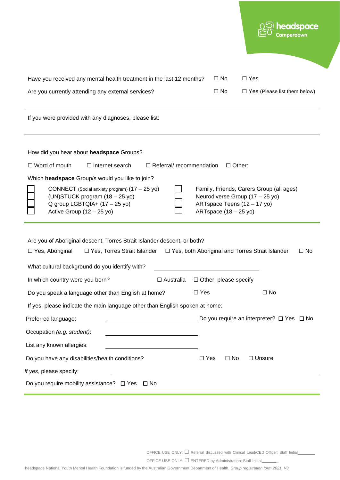| Have you received any mental health treatment in the last 12 months?<br>Are you currently attending any external services?                                                                                                                                                                                                          | $\Box$ No<br>$\Box$ Yes<br>$\Box$ No<br>$\Box$ Yes (Please list them below)                                                                          |
|-------------------------------------------------------------------------------------------------------------------------------------------------------------------------------------------------------------------------------------------------------------------------------------------------------------------------------------|------------------------------------------------------------------------------------------------------------------------------------------------------|
| If you were provided with any diagnoses, please list:                                                                                                                                                                                                                                                                               |                                                                                                                                                      |
| How did you hear about headspace Groups?<br>$\Box$ Referral/ recommendation<br>$\Box$ Word of mouth<br>$\Box$ Internet search<br>Which headspace Group/s would you like to join?<br>CONNECT (Social anxiety program) (17 - 25 yo)<br>(UN)STUCK program (18 - 25 yo)<br>Q group LGBTQIA+ (17 - 25 yo)<br>Active Group $(12 - 25$ yo) | $\Box$ Other:<br>Family, Friends, Carers Group (all ages)<br>Neurodiverse Group (17 - 25 yo)<br>ARTspace Teens (12 - 17 yo)<br>ARTspace (18 - 25 yo) |
| Are you of Aboriginal descent, Torres Strait Islander descent, or both?<br>$\Box$ Yes, Torres Strait Islander $\Box$ Yes, both Aboriginal and Torres Strait Islander<br>$\Box$ Yes, Aboriginal<br>What cultural background do you identify with?                                                                                    | $\Box$ No                                                                                                                                            |
| In which country were you born?<br>$\Box$ Australia                                                                                                                                                                                                                                                                                 | $\Box$ Other, please specify                                                                                                                         |
| Do you speak a language other than English at home?                                                                                                                                                                                                                                                                                 | $\Box$ Yes<br>$\Box$ No                                                                                                                              |
| If yes, please indicate the main language other than English spoken at home:                                                                                                                                                                                                                                                        |                                                                                                                                                      |
| Preferred language:                                                                                                                                                                                                                                                                                                                 | Do you require an interpreter? $\Box$ Yes $\Box$ No                                                                                                  |
| Occupation (e.g. student):                                                                                                                                                                                                                                                                                                          |                                                                                                                                                      |
| List any known allergies:                                                                                                                                                                                                                                                                                                           |                                                                                                                                                      |
| Do you have any disabilities/health conditions?                                                                                                                                                                                                                                                                                     | $\Box$ Yes<br>$\square$ No<br>$\Box$ Unsure                                                                                                          |
| If yes, please specify:                                                                                                                                                                                                                                                                                                             |                                                                                                                                                      |
| Do you require mobility assistance? $\Box$ Yes $\Box$ No                                                                                                                                                                                                                                                                            |                                                                                                                                                      |

OFFICE USE ONLY: □ Referral discussed with Clinical Lead/CED Officer: Staff Initial

OFFICE USE ONLY: □ ENTERED by Administration: Staff Initial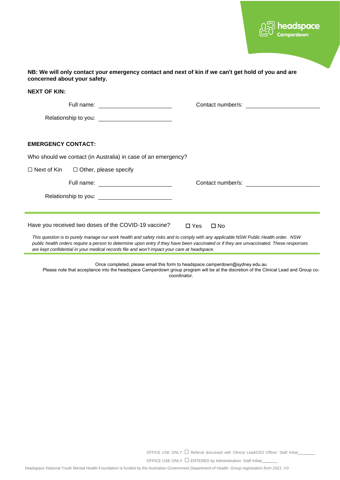

| Full name: ____________________________                       |                   |
|---------------------------------------------------------------|-------------------|
|                                                               |                   |
| <b>EMERGENCY CONTACT:</b>                                     |                   |
| Who should we contact (in Australia) in case of an emergency? |                   |
| $\Box$ Next of Kin<br>$\Box$ Other, please specify            |                   |
|                                                               | Contact number/s: |
|                                                               |                   |
|                                                               |                   |

Once completed, please email this form to headspace.camperdown@sydney.edu.au

Please note that acceptance into the headspace Camperdown group program will be at the discretion of the Clinical Lead and Group cocoordinator.

OFFICE USE ONLY: □ Referral discussed with Clinical Lead/CED Officer: Staff Initial

OFFICE USE ONLY: □ ENTERED by Administration: Staff Initial